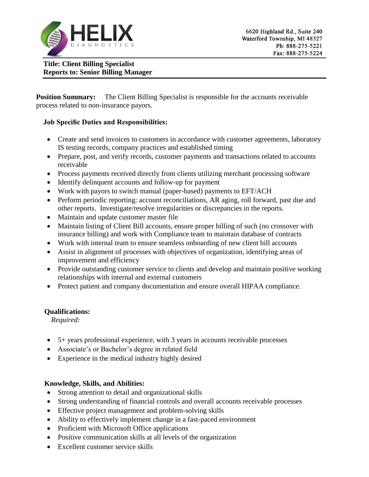

**Title: Client Billing Specialist Reports to: Senior Billing Manager**

**Position Summary:** The Client Billing Specialist is responsible for the accounts receivable process related to non-insurance payors.

## **Job Specific Duties and Responsibilities:**

- Create and send invoices to customers in accordance with customer agreements, laboratory IS testing records, company practices and established timing
- Prepare, post, and verify records, customer payments and transactions related to accounts receivable
- Process payments received directly from clients utilizing merchant processing software
- Identify delinquent accounts and follow-up for payment
- Work with payors to switch manual (paper-based) payments to EFT/ACH
- Perform periodic reporting: account reconciliations, AR aging, roll forward, past due and other reports. Investigate/resolve irregularities or discrepancies in the reports.
- Maintain and update customer master file
- Maintain listing of Client Bill accounts, ensure proper billing of such (no crossover with insurance billing) and work with Compliance team to maintain database of contracts
- Work with internal team to ensure seamless onboarding of new client bill accounts
- Assist in alignment of processes with objectives of organization, identifying areas of improvement and efficiency
- Provide outstanding customer service to clients and develop and maintain positive working relationships with internal and external customers
- Protect patient and company documentation and ensure overall HIPAA compliance.

## **Qualifications:**

*Required:*

- 5+ years professional experience, with 3 years in accounts receivable processes
- Associate's or Bachelor's degree in related field
- Experience in the medical industry highly desired

## **Knowledge, Skills, and Abilities:**

- Strong attention to detail and organizational skills
- Strong understanding of financial controls and overall accounts receivable processes
- Effective project management and problem-solving skills
- Ability to effectively implement change in a fast-paced environment
- Proficient with Microsoft Office applications
- Positive communication skills at all levels of the organization
- Excellent customer service skills